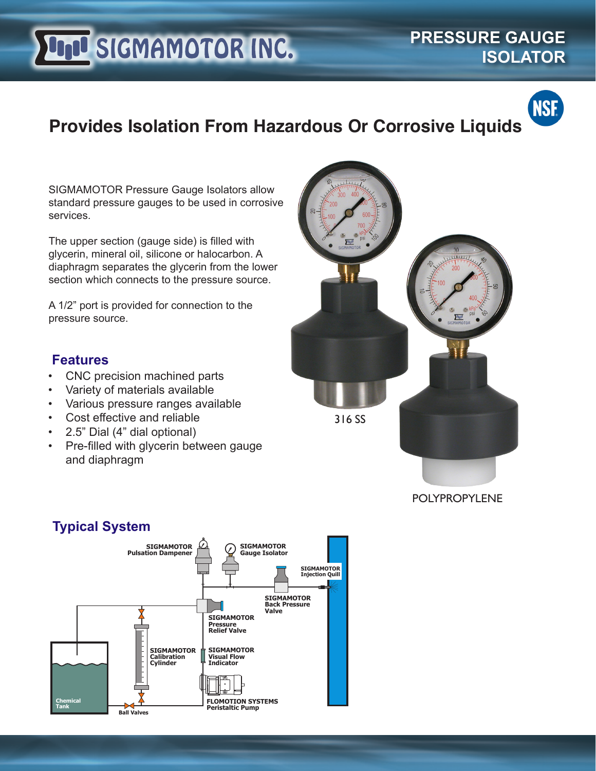# **LIJU SIGMAMOTOR INC.**

**PRESSURE GAUGE ISOLATOR**



### **Provides Isolation From Hazardous Or Corrosive Liquids**

SIGMAMOTOR Pressure Gauge Isolators allow standard pressure gauges to be used in corrosive services.

The upper section (gauge side) is filled with glycerin, mineral oil, silicone or halocarbon. A diaphragm separates the glycerin from the lower section which connects to the pressure source.

A 1/2" port is provided for connection to the pressure source.

#### **Features**

- CNC precision machined parts
- Variety of materials available
- Various pressure ranges available
- Cost effective and reliable
- 2.5" Dial (4" dial optional)
- Pre-filled with glycerin between gauge and diaphragm



#### **Typical System**